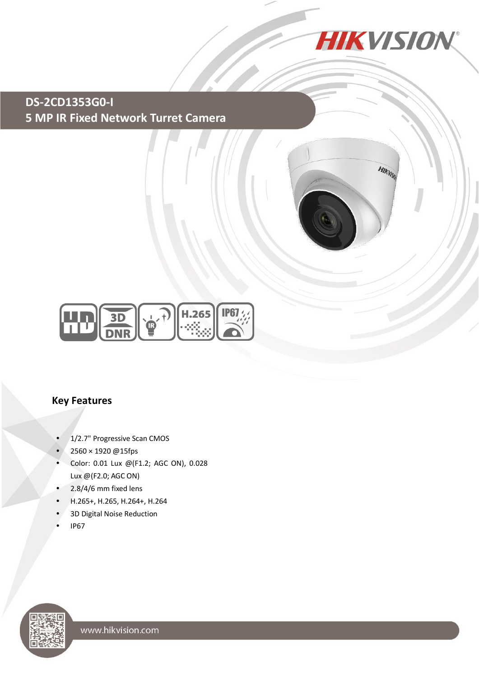

HIKVISK

**DS-2CD1353G0-I 5 MP IR Fixed Network Turret Camera**



#### **Key Features**

- 1/2.7" Progressive Scan CMOS
- 2560 × 1920 @15fps
- Color: 0.01 Lux @(F1.2; AGC ON), 0.028 Lux @(F2.0; AGC ON)
- 2.8/4/6 mm fixed lens
- H.265+, H.265, H.264+, H.264
- 3D Digital Noise Reduction
- IP67

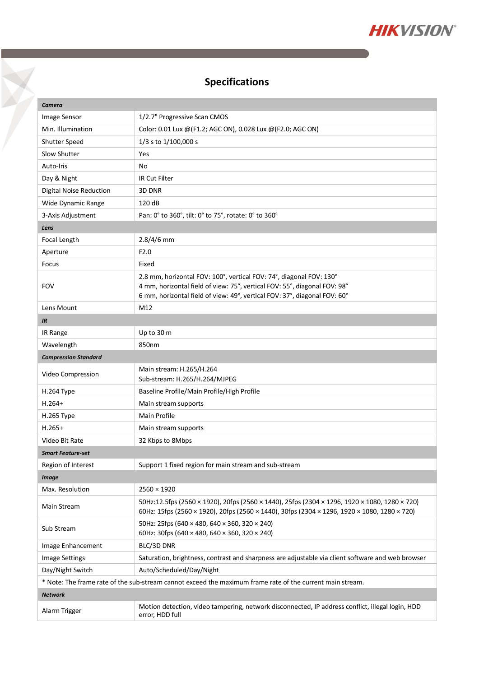

# **Specifications**

Y

| Camera                                                                                                    |                                                                                                                                                                                               |  |
|-----------------------------------------------------------------------------------------------------------|-----------------------------------------------------------------------------------------------------------------------------------------------------------------------------------------------|--|
| Image Sensor                                                                                              | 1/2.7" Progressive Scan CMOS                                                                                                                                                                  |  |
| Min. Illumination                                                                                         | Color: 0.01 Lux @(F1.2; AGC ON), 0.028 Lux @(F2.0; AGC ON)                                                                                                                                    |  |
| Shutter Speed                                                                                             | 1/3 s to 1/100,000 s                                                                                                                                                                          |  |
| Slow Shutter                                                                                              | Yes                                                                                                                                                                                           |  |
| Auto-Iris                                                                                                 | No                                                                                                                                                                                            |  |
| Day & Night                                                                                               | <b>IR Cut Filter</b>                                                                                                                                                                          |  |
| Digital Noise Reduction                                                                                   | 3D DNR                                                                                                                                                                                        |  |
| Wide Dynamic Range                                                                                        | 120 dB                                                                                                                                                                                        |  |
| 3-Axis Adjustment                                                                                         | Pan: 0° to 360°, tilt: 0° to 75°, rotate: 0° to 360°                                                                                                                                          |  |
| Lens                                                                                                      |                                                                                                                                                                                               |  |
| Focal Length                                                                                              | $2.8/4/6$ mm                                                                                                                                                                                  |  |
| Aperture                                                                                                  | F <sub>2.0</sub>                                                                                                                                                                              |  |
| Focus                                                                                                     | Fixed                                                                                                                                                                                         |  |
| <b>FOV</b>                                                                                                | 2.8 mm, horizontal FOV: 100°, vertical FOV: 74°, diagonal FOV: 130°                                                                                                                           |  |
|                                                                                                           | 4 mm, horizontal field of view: 75°, vertical FOV: 55°, diagonal FOV: 98°<br>6 mm, horizontal field of view: 49°, vertical FOV: 37°, diagonal FOV: 60°                                        |  |
| Lens Mount                                                                                                | M12                                                                                                                                                                                           |  |
|                                                                                                           |                                                                                                                                                                                               |  |
| IR                                                                                                        |                                                                                                                                                                                               |  |
| IR Range                                                                                                  | Up to 30 m                                                                                                                                                                                    |  |
| Wavelength                                                                                                | 850nm                                                                                                                                                                                         |  |
| <b>Compression Standard</b>                                                                               |                                                                                                                                                                                               |  |
| Video Compression                                                                                         | Main stream: H.265/H.264<br>Sub-stream: H.265/H.264/MJPEG                                                                                                                                     |  |
| H.264 Type                                                                                                | Baseline Profile/Main Profile/High Profile                                                                                                                                                    |  |
| $H.264+$                                                                                                  | Main stream supports                                                                                                                                                                          |  |
| <b>H.265 Type</b>                                                                                         | Main Profile                                                                                                                                                                                  |  |
| $H.265+$                                                                                                  | Main stream supports                                                                                                                                                                          |  |
| Video Bit Rate                                                                                            | 32 Kbps to 8Mbps                                                                                                                                                                              |  |
| <b>Smart Feature-set</b>                                                                                  |                                                                                                                                                                                               |  |
| Region of Interest                                                                                        | Support 1 fixed region for main stream and sub-stream                                                                                                                                         |  |
| <b>Image</b>                                                                                              |                                                                                                                                                                                               |  |
| Max. Resolution                                                                                           | $2560 \times 1920$                                                                                                                                                                            |  |
| Main Stream                                                                                               | 50Hz:12.5fps (2560 × 1920), 20fps (2560 × 1440), 25fps (2304 × 1296, 1920 × 1080, 1280 × 720)<br>60Hz: 15fps (2560 × 1920), 20fps (2560 × 1440), 30fps (2304 × 1296, 1920 × 1080, 1280 × 720) |  |
| Sub Stream                                                                                                | 50Hz: 25fps (640 × 480, 640 × 360, 320 × 240)<br>60Hz: 30fps (640 × 480, 640 × 360, 320 × 240)                                                                                                |  |
| Image Enhancement                                                                                         | BLC/3D DNR                                                                                                                                                                                    |  |
| <b>Image Settings</b>                                                                                     | Saturation, brightness, contrast and sharpness are adjustable via client software and web browser                                                                                             |  |
| Day/Night Switch                                                                                          | Auto/Scheduled/Day/Night                                                                                                                                                                      |  |
| * Note: The frame rate of the sub-stream cannot exceed the maximum frame rate of the current main stream. |                                                                                                                                                                                               |  |
| <b>Network</b>                                                                                            |                                                                                                                                                                                               |  |
| Alarm Trigger                                                                                             | Motion detection, video tampering, network disconnected, IP address conflict, illegal login, HDD<br>error, HDD full                                                                           |  |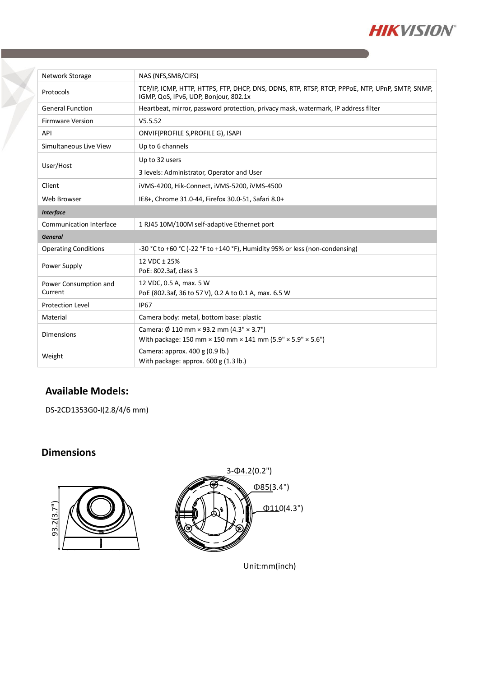

| Network Storage                  | NAS (NFS, SMB/CIFS)                                                                                                                           |
|----------------------------------|-----------------------------------------------------------------------------------------------------------------------------------------------|
| Protocols                        | TCP/IP, ICMP, HTTP, HTTPS, FTP, DHCP, DNS, DDNS, RTP, RTSP, RTCP, PPPOE, NTP, UPnP, SMTP, SNMP,<br>IGMP, QoS, IPv6, UDP, Bonjour, 802.1x      |
| <b>General Function</b>          | Heartbeat, mirror, password protection, privacy mask, watermark, IP address filter                                                            |
| <b>Firmware Version</b>          | V5.5.52                                                                                                                                       |
| API                              | ONVIF(PROFILE S, PROFILE G), ISAPI                                                                                                            |
| Simultaneous Live View           | Up to 6 channels                                                                                                                              |
| User/Host                        | Up to 32 users                                                                                                                                |
|                                  | 3 levels: Administrator, Operator and User                                                                                                    |
| Client                           | iVMS-4200, Hik-Connect, iVMS-5200, iVMS-4500                                                                                                  |
| Web Browser                      | IE8+, Chrome 31.0-44, Firefox 30.0-51, Safari 8.0+                                                                                            |
| <b>Interface</b>                 |                                                                                                                                               |
| <b>Communication Interface</b>   | 1 RJ45 10M/100M self-adaptive Ethernet port                                                                                                   |
| <b>General</b>                   |                                                                                                                                               |
| <b>Operating Conditions</b>      | -30 °C to +60 °C (-22 °F to +140 °F), Humidity 95% or less (non-condensing)                                                                   |
| Power Supply                     | 12 VDC ± 25%<br>PoE: 802.3af, class 3                                                                                                         |
| Power Consumption and<br>Current | 12 VDC, 0.5 A, max. 5 W<br>PoE (802.3af, 36 to 57 V), 0.2 A to 0.1 A, max. 6.5 W                                                              |
| <b>Protection Level</b>          | <b>IP67</b>                                                                                                                                   |
| Material                         | Camera body: metal, bottom base: plastic                                                                                                      |
| <b>Dimensions</b>                | Camera: $\emptyset$ 110 mm × 93.2 mm (4.3" × 3.7")<br>With package: 150 mm $\times$ 150 mm $\times$ 141 mm (5.9" $\times$ 5.9" $\times$ 5.6") |
| Weight                           | Camera: approx. 400 g (0.9 lb.)<br>With package: approx. $600 g(1.3 lb.)$                                                                     |

### **Available Models:**

DS-2CD1353G0-I(2.8/4/6 mm)

## **Dimensions**



Unit:m m(inch)